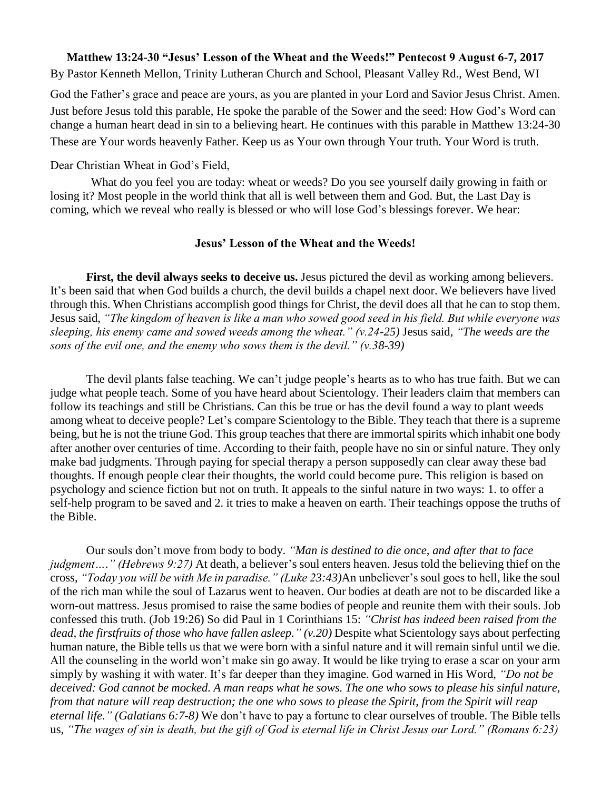## **Matthew 13:24-30 "Jesus' Lesson of the Wheat and the Weeds!" Pentecost 9 August 6-7, 2017**

By Pastor Kenneth Mellon, Trinity Lutheran Church and School, Pleasant Valley Rd., West Bend, WI

God the Father's grace and peace are yours, as you are planted in your Lord and Savior Jesus Christ. Amen. Just before Jesus told this parable, He spoke the parable of the Sower and the seed: How God's Word can change a human heart dead in sin to a believing heart. He continues with this parable in Matthew 13:24-30 These are Your words heavenly Father. Keep us as Your own through Your truth. Your Word is truth.

## Dear Christian Wheat in God's Field,

What do you feel you are today: wheat or weeds? Do you see yourself daily growing in faith or losing it? Most people in the world think that all is well between them and God. But, the Last Day is coming, which we reveal who really is blessed or who will lose God's blessings forever. We hear:

## **Jesus' Lesson of the Wheat and the Weeds!**

**First, the devil always seeks to deceive us.** Jesus pictured the devil as working among believers. It's been said that when God builds a church, the devil builds a chapel next door. We believers have lived through this. When Christians accomplish good things for Christ, the devil does all that he can to stop them. Jesus said, *"The kingdom of heaven is like a man who sowed good seed in his field. But while everyone was sleeping, his enemy came and sowed weeds among the wheat." (v.24-25)* Jesus said, *"The weeds are the sons of the evil one, and the enemy who sows them is the devil." (v.38-39)*

The devil plants false teaching. We can't judge people's hearts as to who has true faith. But we can judge what people teach. Some of you have heard about Scientology. Their leaders claim that members can follow its teachings and still be Christians. Can this be true or has the devil found a way to plant weeds among wheat to deceive people? Let's compare Scientology to the Bible. They teach that there is a supreme being, but he is not the triune God. This group teaches that there are immortal spirits which inhabit one body after another over centuries of time. According to their faith, people have no sin or sinful nature. They only make bad judgments. Through paying for special therapy a person supposedly can clear away these bad thoughts. If enough people clear their thoughts, the world could become pure. This religion is based on psychology and science fiction but not on truth. It appeals to the sinful nature in two ways: 1. to offer a self-help program to be saved and 2. it tries to make a heaven on earth. Their teachings oppose the truths of the Bible.

Our souls don't move from body to body. *"Man is destined to die once, and after that to face judgment…." (Hebrews 9:27)* At death, a believer's soul enters heaven. Jesus told the believing thief on the cross, *"Today you will be with Me in paradise." (Luke 23:43)*An unbeliever's soul goes to hell, like the soul of the rich man while the soul of Lazarus went to heaven. Our bodies at death are not to be discarded like a worn-out mattress. Jesus promised to raise the same bodies of people and reunite them with their souls. Job confessed this truth. (Job 19:26) So did Paul in 1 Corinthians 15: *"Christ has indeed been raised from the dead, the firstfruits of those who have fallen asleep." (v.20)* Despite what Scientology says about perfecting human nature, the Bible tells us that we were born with a sinful nature and it will remain sinful until we die. All the counseling in the world won't make sin go away. It would be like trying to erase a scar on your arm simply by washing it with water. It's far deeper than they imagine. God warned in His Word, *"Do not be deceived: God cannot be mocked. A man reaps what he sows. The one who sows to please his sinful nature, from that nature will reap destruction; the one who sows to please the Spirit, from the Spirit will reap eternal life." (Galatians 6:7-8)* We don't have to pay a fortune to clear ourselves of trouble. The Bible tells us, *"The wages of sin is death, but the gift of God is eternal life in Christ Jesus our Lord." (Romans 6:23)*